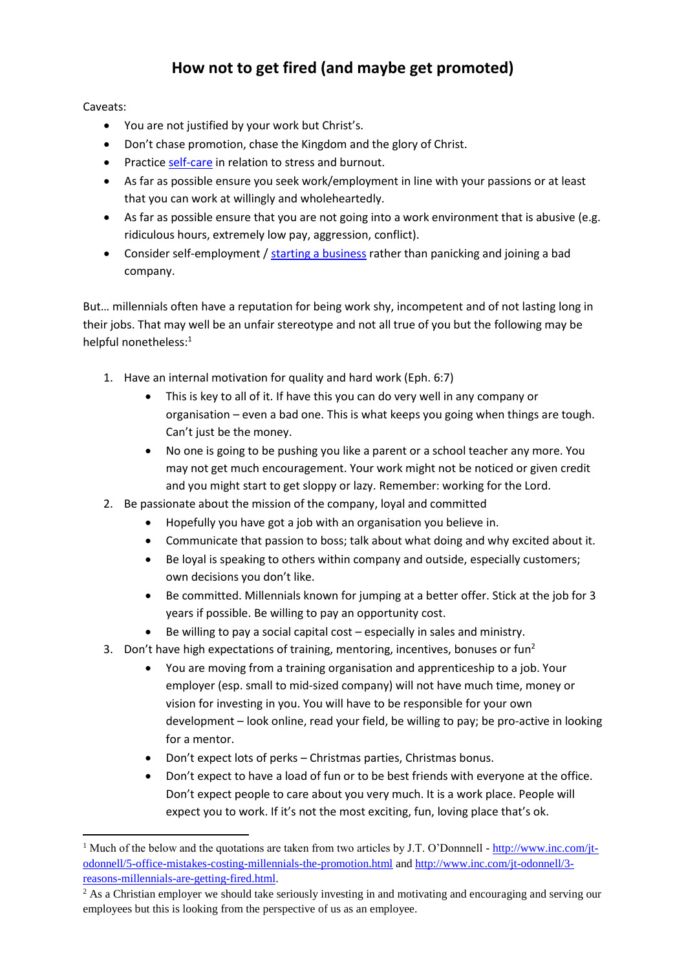## **How not to get fired (and maybe get promoted)**

Caveats:

- You are not justified by your work but Christ's.
- Don't chase promotion, chase the Kingdom and the glory of Christ.
- Practice [self-care](https://iserveafrica.files.wordpress.com/2016/03/self-care-101.pdf) in relation to stress and burnout.
- As far as possible ensure you seek work/employment in line with your passions or at least that you can work at willingly and wholeheartedly.
- As far as possible ensure that you are not going into a work environment that is abusive (e.g. ridiculous hours, extremely low pay, aggression, conflict).
- Consider self-employment / [starting a business](https://watumishiwaneno.files.wordpress.com/2013/05/how-to-start-a-business.pdf) rather than panicking and joining a bad company.

But… millennials often have a reputation for being work shy, incompetent and of not lasting long in their jobs. That may well be an unfair stereotype and not all true of you but the following may be helpful nonetheless:<sup>1</sup>

- 1. Have an internal motivation for quality and hard work (Eph. 6:7)
	- This is key to all of it. If have this you can do very well in any company or organisation – even a bad one. This is what keeps you going when things are tough. Can't just be the money.
	- No one is going to be pushing you like a parent or a school teacher any more. You may not get much encouragement. Your work might not be noticed or given credit and you might start to get sloppy or lazy. Remember: working for the Lord.
- 2. Be passionate about the mission of the company, loyal and committed
	- Hopefully you have got a job with an organisation you believe in.
	- Communicate that passion to boss; talk about what doing and why excited about it.
	- Be loyal is speaking to others within company and outside, especially customers; own decisions you don't like.
	- Be committed. Millennials known for jumping at a better offer. Stick at the job for 3 years if possible. Be willing to pay an opportunity cost.
	- Be willing to pay a social capital cost especially in sales and ministry.
- 3. Don't have high expectations of training, mentoring, incentives, bonuses or fun<sup>2</sup>
	- You are moving from a training organisation and apprenticeship to a job. Your employer (esp. small to mid-sized company) will not have much time, money or vision for investing in you. You will have to be responsible for your own development – look online, read your field, be willing to pay; be pro-active in looking for a mentor.
	- Don't expect lots of perks Christmas parties, Christmas bonus.
	- Don't expect to have a load of fun or to be best friends with everyone at the office. Don't expect people to care about you very much. It is a work place. People will expect you to work. If it's not the most exciting, fun, loving place that's ok.

<sup>1</sup> <sup>1</sup> Much of the below and the quotations are taken from two articles by J.T. O'Donnnell - [http://www.inc.com/jt](http://www.inc.com/jt-odonnell/5-office-mistakes-costing-millennials-the-promotion.html)[odonnell/5-office-mistakes-costing-millennials-the-promotion.html](http://www.inc.com/jt-odonnell/5-office-mistakes-costing-millennials-the-promotion.html) and [http://www.inc.com/jt-odonnell/3](http://www.inc.com/jt-odonnell/3-reasons-millennials-are-getting-fired.html) [reasons-millennials-are-getting-fired.html.](http://www.inc.com/jt-odonnell/3-reasons-millennials-are-getting-fired.html) 

<sup>&</sup>lt;sup>2</sup> As a Christian employer we should take seriously investing in and motivating and encouraging and serving our employees but this is looking from the perspective of us as an employee.